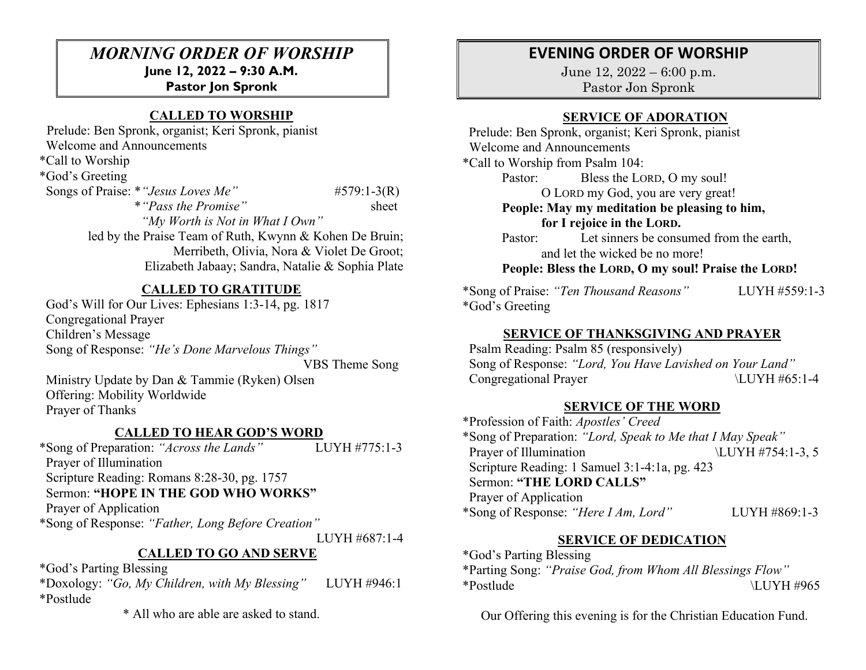## *MORNING ORDER OF WORSHIP* **June 12, 2022 – 9:30 A.M.**

**Pastor Jon Spronk**

# **CALLED TO WORSHIP**

 Prelude: Ben Spronk, organist; Keri Spronk, pianist Welcome and Announcements \*Call to Worship \*God's Greeting Songs of Praise: \* "*Jesus Loves Me*" #579:1-3(R) \**"Pass the Promise"* sheet *"My Worth is Not in What I Own"* led by the Praise Team of Ruth, Kwynn & Kohen De Bruin;

Merribeth, Olivia, Nora & Violet De Groot; Elizabeth Jabaay; Sandra, Natalie & Sophia Plate

## **CALLED TO GRATITUDE**

 God's Will for Our Lives: Ephesians 1:3-14, pg. 1817 Congregational Prayer Children's Message Song of Response: *"He's Done Marvelous Things"* 

VBS Theme Song

 Ministry Update by Dan & Tammie (Ryken) Olsen Offering: Mobility Worldwide Prayer of Thanks

#### **CALLED TO HEAR GOD'S WORD**

\*Song of Preparation: *"Across the Lands"* LUYH #775:1-3 Prayer of Illumination Scripture Reading: Romans 8:28-30, pg. 1757 Sermon: **"HOPE IN THE GOD WHO WORKS"** Prayer of Application \*Song of Response: *"Father, Long Before Creation"*

LUYH #687:1-4

# **CALLED TO GO AND SERVE**

\*God's Parting Blessing

\*Doxology: *"Go, My Children, with My Blessing"* LUYH #946:1 \*Postlude

\* All who are able are asked to stand.

# **EVENING ORDER OF WORSHIP**

June 12, 2022 – 6:00 p.m. Pastor Jon Spronk

### **SERVICE OF ADORATION**

 Prelude: Ben Spronk, organist; Keri Spronk, pianist Welcome and Announcements \*Call to Worship from Psalm 104: Pastor: Bless the LORD, O my soul! O LORD my God, you are very great! **People: May my meditation be pleasing to him, for I rejoice in the LORD.**  Pastor: Let sinners be consumed from the earth, and let the wicked be no more! **People: Bless the LORD, O my soul! Praise the LORD!**

\*Song of Praise: *"Ten Thousand Reasons"* LUYH #559:1-3 \*God's Greeting

### **SERVICE OF THANKSGIVING AND PRAYER**

 Psalm Reading: Psalm 85 (responsively) Song of Response: *"Lord, You Have Lavished on Your Land"* Congregational Prayer  $\text{LUYH } \#65:1-4$ 

### **SERVICE OF THE WORD**

\*Profession of Faith: *Apostles' Creed* \*Song of Preparation: *"Lord, Speak to Me that I May Speak"*  Prayer of Illumination \LUYH #754:1-3, 5 Scripture Reading: 1 Samuel 3:1-4:1a, pg. 423 Sermon: **"THE LORD CALLS"**  Prayer of Application \*Song of Response: *"Here I Am, Lord"* LUYH #869:1-3

### **SERVICE OF DEDICATION**

\*God's Parting Blessing \*Parting Song: *"Praise God, from Whom All Blessings Flow"*  \*Postlude \LUYH #965

Our Offering this evening is for the Christian Education Fund.